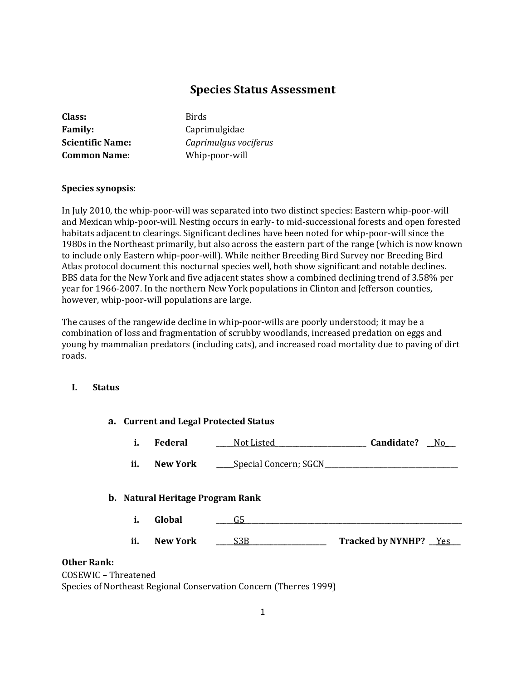# **Species Status Assessment**

| Class:                  |
|-------------------------|
| <b>Family:</b>          |
| <b>Scientific Name:</b> |
| <b>Common Name:</b>     |

**Class:** Birds **Family:** Caprimulgidae **Scientific Name:** *Caprimulgus vociferus* Whip-poor-will

### **Species synopsis**:

In July 2010, the whip-poor-will was separated into two distinct species: Eastern whip-poor-will and Mexican whip-poor-will. Nesting occurs in early- to mid-successional forests and open forested habitats adjacent to clearings. Significant declines have been noted for whip-poor-will since the 1980s in the Northeast primarily, but also across the eastern part of the range (which is now known to include only Eastern whip-poor-will). While neither Breeding Bird Survey nor Breeding Bird Atlas protocol document this nocturnal species well, both show significant and notable declines. BBS data for the New York and five adjacent states show a combined declining trend of 3.58% per year for 1966-2007. In the northern New York populations in Clinton and Jefferson counties, however, whip-poor-will populations are large.

The causes of the rangewide decline in whip-poor-wills are poorly understood; it may be a combination of loss and fragmentation of scrubby woodlands, increased predation on eggs and young by mammalian predators (including cats), and increased road mortality due to paving of dirt roads.

# **I. Status**

|                    |     | a. Current and Legal Protected Status   |                              |                              |     |
|--------------------|-----|-----------------------------------------|------------------------------|------------------------------|-----|
|                    | i.  | Federal                                 | Not Listed                   | Candidate?                   | No. |
|                    | ii. | New York                                | <b>Special Concern; SGCN</b> |                              |     |
|                    |     | <b>b.</b> Natural Heritage Program Rank |                              |                              |     |
|                    | i.  | Global                                  | G5                           |                              |     |
|                    | ii. | <b>New York</b>                         | S3B                          | <b>Tracked by NYNHP?</b> Yes |     |
| <b>Other Rank:</b> |     |                                         |                              |                              |     |

COSEWIC – Threatened Species of Northeast Regional Conservation Concern (Therres 1999)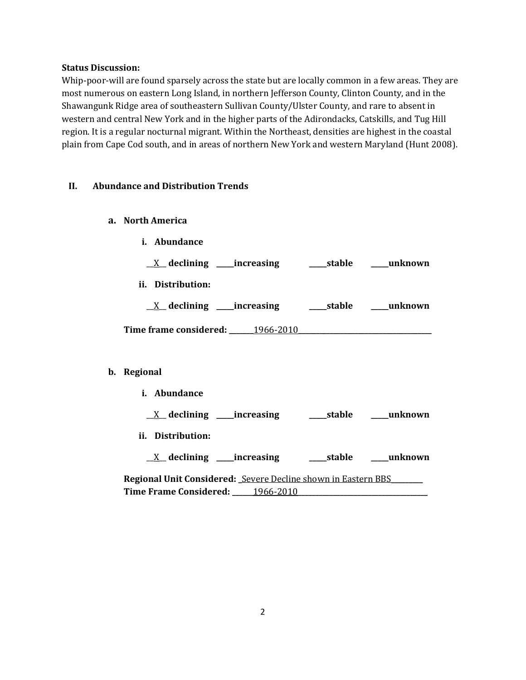#### **Status Discussion:**

Whip-poor-will are found sparsely across the state but are locally common in a few areas. They are most numerous on eastern Long Island, in northern Jefferson County, Clinton County, and in the Shawangunk Ridge area of southeastern Sullivan County/Ulster County, and rare to absent in western and central New York and in the higher parts of the Adirondacks, Catskills, and Tug Hill region. It is a regular nocturnal migrant. Within the Northeast, densities are highest in the coastal plain from Cape Cod south, and in areas of northern New York and western Maryland (Hunt 2008).

### **II. Abundance and Distribution Trends**

- **a. North America**
	- **i. Abundance**

| $X$ declining _____increasing    | stable | unknown |
|----------------------------------|--------|---------|
| ii. Distribution:                |        |         |
| $X$ declining ______increasing   | stable | unknown |
| Time frame considered: 1966-2010 |        |         |

### **b. Regional**

**i. Abundance**

|  | $\underline{X}$ declining | ___increasing | _stable | unknown |
|--|---------------------------|---------------|---------|---------|
|--|---------------------------|---------------|---------|---------|

- **ii. Distribution:**
- \_\_X\_\_ **declining \_\_\_\_\_increasing \_\_\_\_\_stable \_\_\_\_\_unknown**

**Regional Unit Considered: \_**Severe Decline shown in Eastern BBS**\_\_\_\_\_\_\_\_\_ Time Frame Considered: \_\_\_\_\_\_**1966-2010**\_\_\_\_\_\_\_\_\_\_\_\_\_\_\_\_\_\_\_\_\_\_\_\_\_\_\_\_\_\_\_\_\_\_\_\_\_**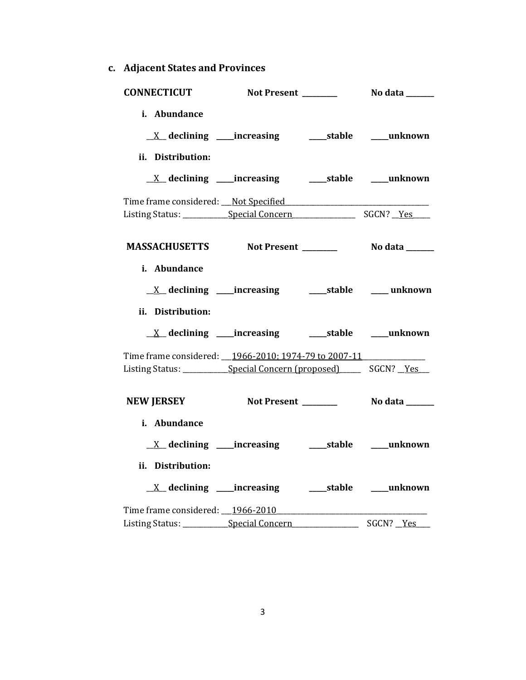**c. Adjacent States and Provinces**

| <b>CONNECTICUT</b>                                                                                                                     |  |           |
|----------------------------------------------------------------------------------------------------------------------------------------|--|-----------|
| i. Abundance<br><u>X</u> declining ____increasing ______stable ____unknown<br>ii. Distribution:                                        |  |           |
|                                                                                                                                        |  |           |
|                                                                                                                                        |  |           |
| MASSACHUSETTS Not Present _________ No data ______                                                                                     |  |           |
| i. Abundance<br>ii. Distribution:                                                                                                      |  |           |
| Time frame considered: __1966-2010; 1974-79 to 2007-11<br>Listing Status: _____________Special Concern (proposed) ________ SGCN? __Yes |  |           |
| NEW JERSEY Not Present _________ No data ______                                                                                        |  |           |
| i. Abundance<br>ii. Distribution:<br><u>X</u> declining ____increasing _______stable _____unknown                                      |  |           |
| Time frame considered: 1966-2010<br>Listing Status: Special Concern                                                                    |  | SGCN? Yes |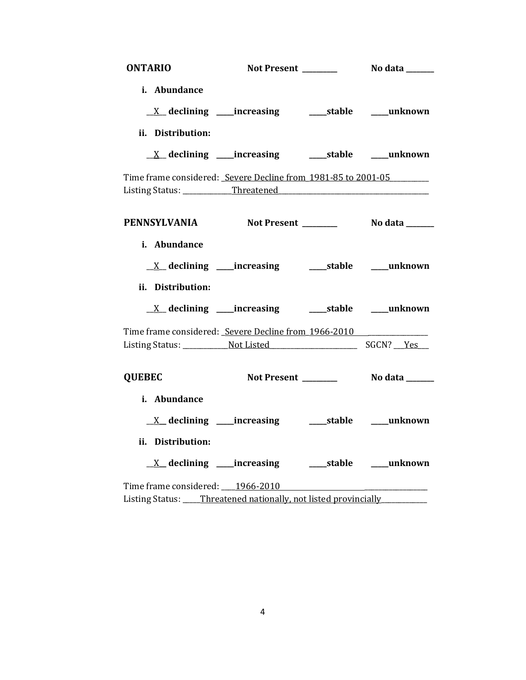| <b>ONTARIO</b>    |                                                                    |                       |
|-------------------|--------------------------------------------------------------------|-----------------------|
| i. Abundance      |                                                                    |                       |
|                   |                                                                    |                       |
| ii. Distribution: |                                                                    |                       |
|                   | <u>X</u> declining ____increasing ______stable ____unknown         |                       |
|                   | Time frame considered: Severe Decline from 1981-85 to 2001-05      |                       |
|                   | PENNSYLVANIA Not Present _________ No data ______                  |                       |
| i. Abundance      |                                                                    |                       |
|                   | <u>X</u> declining ____increasing _______stable _____unknown       |                       |
| ii. Distribution: |                                                                    |                       |
|                   | <u>X</u> declining ____increasing ______stable ____unknown         |                       |
|                   | Time frame considered: Severe Decline from 1966-2010               |                       |
|                   |                                                                    |                       |
| <b>QUEBEC</b>     | Not Present ______                                                 | <b>No data</b> ______ |
| i. Abundance      |                                                                    |                       |
|                   | <u>X</u> declining ____increasing ___________stable _____unknown   |                       |
| ii. Distribution: |                                                                    |                       |
|                   | <u>X</u> declining ____increasing ______stable ____unknown         |                       |
|                   | Time frame considered: 1966-2010                                   |                       |
|                   | Listing Status: ____Threatened nationally, not listed provincially |                       |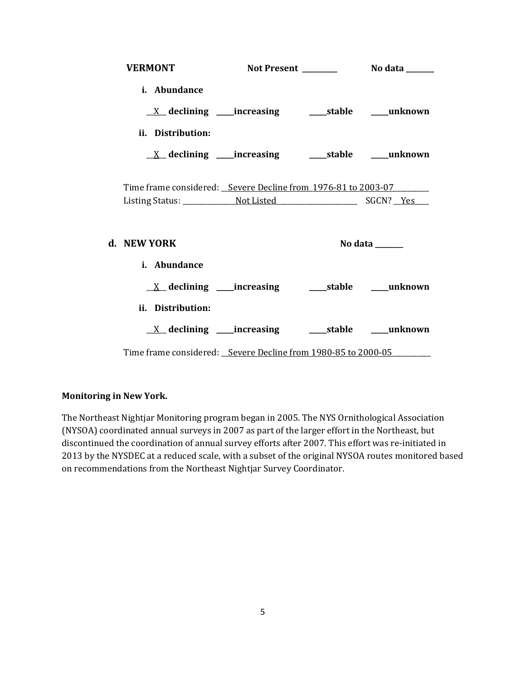| <b>VERMONT</b>                                                          |  |                                   |
|-------------------------------------------------------------------------|--|-----------------------------------|
| i. Abundance                                                            |  |                                   |
|                                                                         |  |                                   |
| ii. Distribution:                                                       |  |                                   |
| $\underline{X}$ declining ____increasing __________stable ______unknown |  |                                   |
|                                                                         |  |                                   |
| Time frame considered: Severe Decline from 1976-81 to 2003-07           |  |                                   |
|                                                                         |  |                                   |
| d. NEW YORK                                                             |  | No data $\_\_\_\_\_\_\_\_\_\_\_\$ |
| i. Abundance                                                            |  |                                   |
|                                                                         |  |                                   |
| ii. Distribution:                                                       |  |                                   |
|                                                                         |  |                                   |
| Time frame considered: Severe Decline from 1980-85 to 2000-05           |  |                                   |

### **Monitoring in New York.**

The Northeast Nightjar Monitoring program began in 2005. The NYS Ornithological Association (NYSOA) coordinated annual surveys in 2007 as part of the larger effort in the Northeast, but discontinued the coordination of annual survey efforts after 2007. This effort was re-initiated in 2013 by the NYSDEC at a reduced scale, with a subset of the original NYSOA routes monitored based on recommendations from the Northeast Nightjar Survey Coordinator.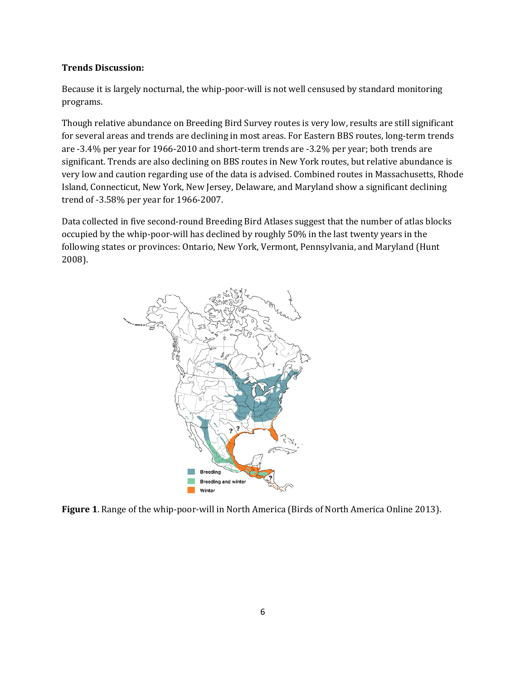#### **Trends Discussion:**

Because it is largely nocturnal, the whip-poor-will is not well censused by standard monitoring programs.

Though relative abundance on Breeding Bird Survey routes is very low, results are still significant for several areas and trends are declining in most areas. For Eastern BBS routes, long-term trends are -3.4% per year for 1966-2010 and short-term trends are -3.2% per year; both trends are significant. Trends are also declining on BBS routes in New York routes, but relative abundance is very low and caution regarding use of the data is advised. Combined routes in Massachusetts, Rhode Island, Connecticut, New York, New Jersey, Delaware, and Maryland show a significant declining trend of -3.58% per year for 1966-2007.

Data collected in five second-round Breeding Bird Atlases suggest that the number of atlas blocks occupied by the whip-poor-will has declined by roughly 50% in the last twenty years in the following states or provinces: Ontario, New York, Vermont, Pennsylvania, and Maryland (Hunt 2008).



**Figure 1**. Range of the whip-poor-will in North America (Birds of North America Online 2013).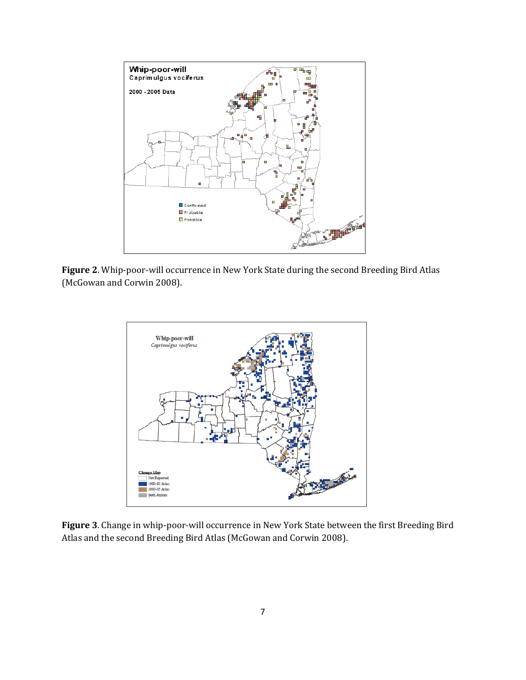

**Figure 2**. Whip-poor-will occurrence in New York State during the second Breeding Bird Atlas (McGowan and Corwin 2008).



**Figure 3**. Change in whip-poor-will occurrence in New York State between the first Breeding Bird Atlas and the second Breeding Bird Atlas (McGowan and Corwin 2008).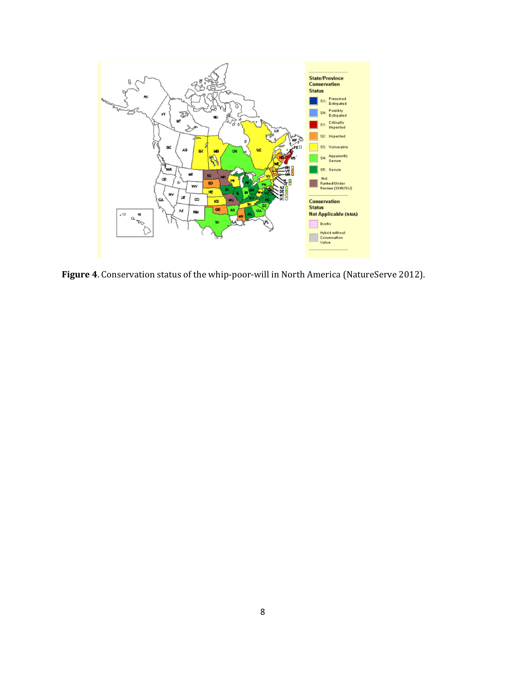

**Figure 4**. Conservation status of the whip-poor-will in North America (NatureServe 2012).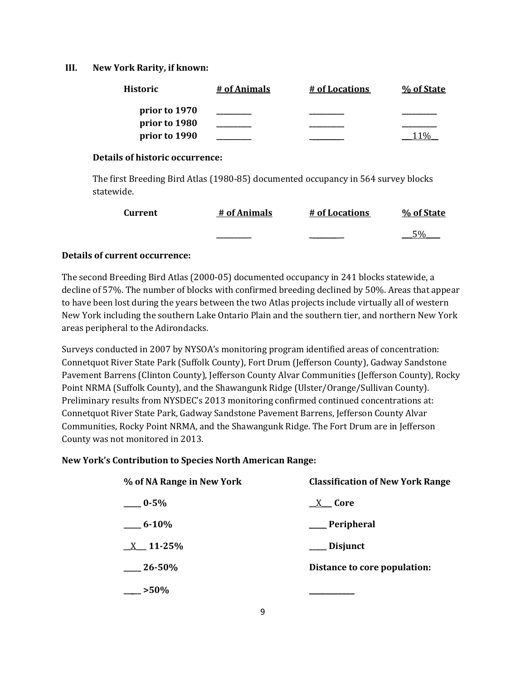#### **III. New York Rarity, if known:**

| <b>Historic</b> | # of Animals | # of Locations | % of State |
|-----------------|--------------|----------------|------------|
| prior to 1970   |              |                |            |
| prior to 1980   |              |                |            |
| prior to 1990   |              |                |            |

#### **Details of historic occurrence:**

The first Breeding Bird Atlas (1980-85) documented occupancy in 564 survey blocks statewide.

| <b>Current</b> | # of Animals | # of Locations | % of State |
|----------------|--------------|----------------|------------|
|                |              |                | 50%        |

### **Details of current occurrence:**

The second Breeding Bird Atlas (2000-05) documented occupancy in 241 blocks statewide, a decline of 57%. The number of blocks with confirmed breeding declined by 50%. Areas that appear to have been lost during the years between the two Atlas projects include virtually all of western New York including the southern Lake Ontario Plain and the southern tier, and northern New York areas peripheral to the Adirondacks.

Surveys conducted in 2007 by NYSOA's monitoring program identified areas of concentration: Connetquot River State Park (Suffolk County), Fort Drum (Jefferson County), Gadway Sandstone Pavement Barrens (Clinton County), Jefferson County Alvar Communities (Jefferson County), Rocky Point NRMA (Suffolk County), and the Shawangunk Ridge (Ulster/Orange/Sullivan County). Preliminary results from NYSDEC's 2013 monitoring confirmed continued concentrations at: Connetquot River State Park, Gadway Sandstone Pavement Barrens, Jefferson County Alvar Communities, Rocky Point NRMA, and the Shawangunk Ridge. The Fort Drum are in Jefferson County was not monitored in 2013.

# **New York's Contribution to Species North American Range:**

| % of NA Range in New York | <b>Classification of New York Range</b> |
|---------------------------|-----------------------------------------|
| $-0.5\%$                  | $X$ Core                                |
| $-6 - 10\%$               | ___ Peripheral                          |
| $X = 11 - 25%$            | ___ Disjunct                            |
| $\frac{26-50}{%}$         | Distance to core population:            |
| $-$ >50%                  |                                         |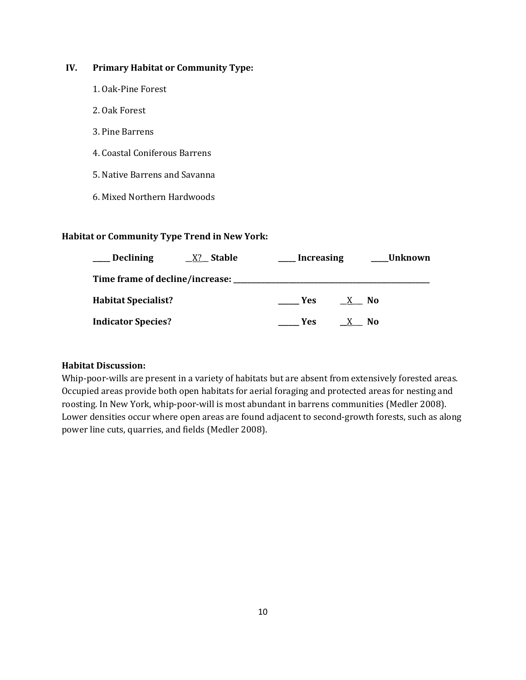# **IV. Primary Habitat or Community Type:**

- 1. Oak-Pine Forest
- 2. Oak Forest
- 3. Pine Barrens
- 4. Coastal Coniferous Barrens
- 5. Native Barrens and Savanna
- 6. Mixed Northern Hardwoods

### **Habitat or Community Type Trend in New York:**

| <b>Declining</b>           | Stable<br>X?                            | Increasing | <b>Unknown</b> |
|----------------------------|-----------------------------------------|------------|----------------|
|                            | Time frame of decline/increase: _______ |            |                |
| <b>Habitat Specialist?</b> |                                         | <b>Yes</b> | No             |
| <b>Indicator Species?</b>  |                                         | Yes:       | N0             |

### **Habitat Discussion:**

Whip-poor-wills are present in a variety of habitats but are absent from extensively forested areas. Occupied areas provide both open habitats for aerial foraging and protected areas for nesting and roosting. In New York, whip-poor-will is most abundant in barrens communities (Medler 2008). Lower densities occur where open areas are found adjacent to second-growth forests, such as along power line cuts, quarries, and fields (Medler 2008).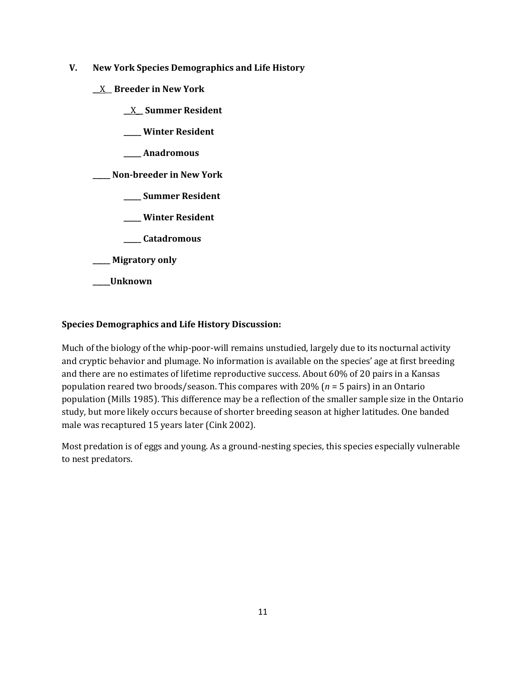- **V. New York Species Demographics and Life History**
	- **\_\_**X\_\_ **Breeder in New York**
		- **\_\_**X**\_\_ Summer Resident**
		- **\_\_\_\_\_ Winter Resident**
		- **\_\_\_\_\_ Anadromous**

**\_\_\_\_\_ Non-breeder in New York**

- **\_\_\_\_\_ Summer Resident**
- **\_\_\_\_\_ Winter Resident**
- **\_\_\_\_\_ Catadromous**
- **\_\_\_\_\_ Migratory only**
- **\_\_\_\_\_Unknown**

# **Species Demographics and Life History Discussion:**

Much of the biology of the whip-poor-will remains unstudied, largely due to its nocturnal activity and cryptic behavior and plumage. No information is available on the species' age at first breeding and there are no estimates of lifetime reproductive success. About 60% of 20 pairs in a Kansas population reared two broods/season. This compares with 20% (*n* = 5 pairs) in an Ontario population (Mills 1985). This difference may be a reflection of the smaller sample size in the Ontario study, but more likely occurs because of shorter breeding season at higher latitudes. One banded male was recaptured 15 years later (Cink 2002).

Most predation is of eggs and young. As a ground-nesting species, this species especially vulnerable to nest predators.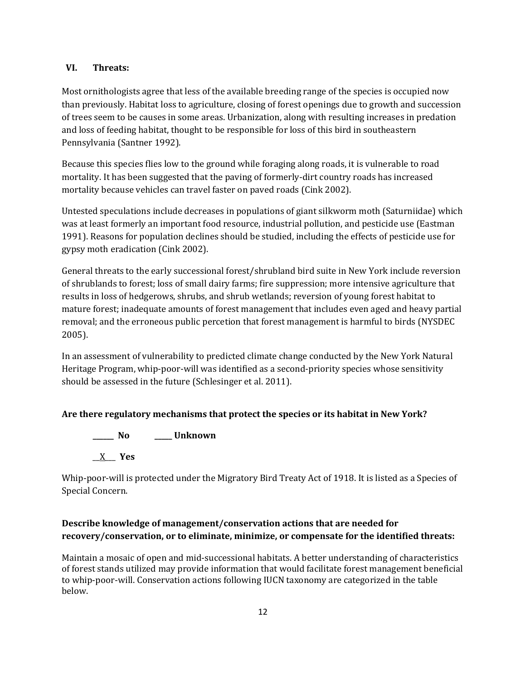### **VI. Threats:**

Most ornithologists agree that less of the available breeding range of the species is occupied now than previously. Habitat loss to agriculture, closing of forest openings due to growth and succession of trees seem to be causes in some areas. Urbanization, along with resulting increases in predation and loss of feeding habitat, thought to be responsible for loss of this bird in southeastern Pennsylvania (Santner 1992).

Because this species flies low to the ground while foraging along roads, it is vulnerable to road mortality. It has been suggested that the paving of formerly-dirt country roads has increased mortality because vehicles can travel faster on paved roads (Cink 2002).

Untested speculations include decreases in populations of giant silkworm moth (Saturniidae) which was at least formerly an important food resource, industrial pollution, and pesticide use (Eastman 1991). Reasons for population declines should be studied, including the effects of pesticide use for gypsy moth eradication (Cink 2002).

General threats to the early successional forest/shrubland bird suite in New York include reversion of shrublands to forest; loss of small dairy farms; fire suppression; more intensive agriculture that results in loss of hedgerows, shrubs, and shrub wetlands; reversion of young forest habitat to mature forest; inadequate amounts of forest management that includes even aged and heavy partial removal; and the erroneous public percetion that forest management is harmful to birds (NYSDEC 2005).

In an assessment of vulnerability to predicted climate change conducted by the New York Natural Heritage Program, whip-poor-will was identified as a second-priority species whose sensitivity should be assessed in the future (Schlesinger et al. 2011).

# **Are there regulatory mechanisms that protect the species or its habitat in New York?**

**\_\_\_\_\_\_ No \_\_\_\_\_ Unknown** \_\_X\_\_\_ **Yes** 

Whip-poor-will is protected under the Migratory Bird Treaty Act of 1918. It is listed as a Species of Special Concern.

# **Describe knowledge of management/conservation actions that are needed for recovery/conservation, or to eliminate, minimize, or compensate for the identified threats:**

Maintain a mosaic of open and mid-successional habitats. A better understanding of characteristics of forest stands utilized may provide information that would facilitate forest management beneficial to whip-poor-will. Conservation actions following IUCN taxonomy are categorized in the table below.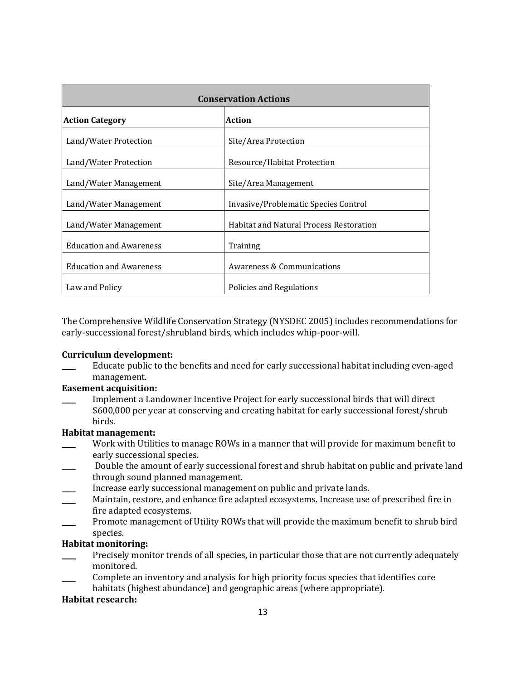| <b>Conservation Actions</b>    |                                                |  |
|--------------------------------|------------------------------------------------|--|
| <b>Action Category</b>         | <b>Action</b>                                  |  |
| Land/Water Protection          | Site/Area Protection                           |  |
| Land/Water Protection          | Resource/Habitat Protection                    |  |
| Land/Water Management          | Site/Area Management                           |  |
| Land/Water Management          | Invasive/Problematic Species Control           |  |
| Land/Water Management          | <b>Habitat and Natural Process Restoration</b> |  |
| <b>Education and Awareness</b> | Training                                       |  |
| <b>Education and Awareness</b> | <b>Awareness &amp; Communications</b>          |  |
| Law and Policy                 | Policies and Regulations                       |  |

The Comprehensive Wildlife Conservation Strategy (NYSDEC 2005) includes recommendations for early-successional forest/shrubland birds, which includes whip-poor-will.

### **Curriculum development:**

Educate public to the benefits and need for early successional habitat including even-aged management.

### **Easement acquisition:**

\_\_\_\_ Implement a Landowner Incentive Project for early successional birds that will direct \$600,000 per year at conserving and creating habitat for early successional forest/shrub birds.

### **Habitat management:**

- Work with Utilities to manage ROWs in a manner that will provide for maximum benefit to early successional species.
- Double the amount of early successional forest and shrub habitat on public and private land through sound planned management.
- Increase early successional management on public and private lands.
- Maintain, restore, and enhance fire adapted ecosystems. Increase use of prescribed fire in fire adapted ecosystems.
- Promote management of Utility ROWs that will provide the maximum benefit to shrub bird species.

# **Habitat monitoring:**

- Precisely monitor trends of all species, in particular those that are not currently adequately monitored.
- \_\_\_\_ Complete an inventory and analysis for high priority focus species that identifies core habitats (highest abundance) and geographic areas (where appropriate).

### **Habitat research:**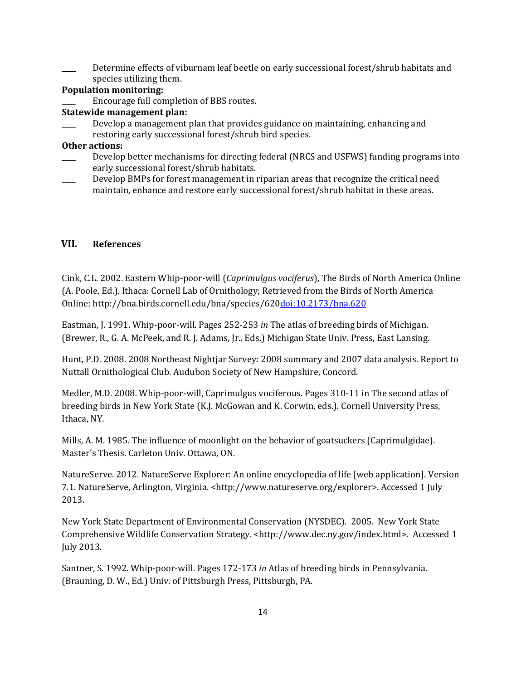Determine effects of viburnam leaf beetle on early successional forest/shrub habitats and species utilizing them.

### **Population monitoring:**

\_\_\_\_ Encourage full completion of BBS routes.

#### **Statewide management plan:**

Develop a management plan that provides guidance on maintaining, enhancing and restoring early successional forest/shrub bird species.

#### **Other actions:**

- \_\_\_\_ Develop better mechanisms for directing federal (NRCS and USFWS) funding programs into early successional forest/shrub habitats.
- Develop BMPs for forest management in riparian areas that recognize the critical need maintain, enhance and restore early successional forest/shrub habitat in these areas.

#### **VII. References**

Cink, C.L. 2002. Eastern Whip-poor-will (*Caprimulgus vociferus*), The Birds of North America Online (A. Poole, Ed.). Ithaca: Cornell Lab of Ornithology; Retrieved from the Birds of North America Online: http://bna.birds.cornell.edu/bna/species/62[0doi:10.2173/bna.620](http://dx.doi.org/10.2173/bna.620)

Eastman, J. 1991. Whip-poor-will. Pages 252-253 *in* The atlas of breeding birds of Michigan. (Brewer, R., G. A. McPeek, and R. J. Adams, Jr., Eds.) Michigan State Univ. Press, East Lansing.

Hunt, P.D. 2008. 2008 Northeast Nightjar Survey: 2008 summary and 2007 data analysis. Report to Nuttall Ornithological Club. Audubon Society of New Hampshire, Concord.

Medler, M.D. 2008. Whip-poor-will, Caprimulgus vociferous. Pages 310-11 in The second atlas of breeding birds in New York State (K.J. McGowan and K. Corwin, eds.). Cornell University Press, Ithaca, NY.

Mills, A. M. 1985. The influence of moonlight on the behavior of goatsuckers (Caprimulgidae). Master's Thesis. Carleton Univ. Ottawa, ON.

NatureServe. 2012. NatureServe Explorer: An online encyclopedia of life [web application]. Version 7.1. NatureServe, Arlington, Virginia. <http://www.natureserve.org/explorer>. Accessed 1 July 2013.

New York State Department of Environmental Conservation (NYSDEC). 2005. New York State Comprehensive Wildlife Conservation Strategy. <http://www.dec.ny.gov/index.html>. Accessed 1 July 2013.

Santner, S. 1992. Whip-poor-will. Pages 172-173 *in* Atlas of breeding birds in Pennsylvania. (Brauning, D. W., Ed.) Univ. of Pittsburgh Press, Pittsburgh, PA.